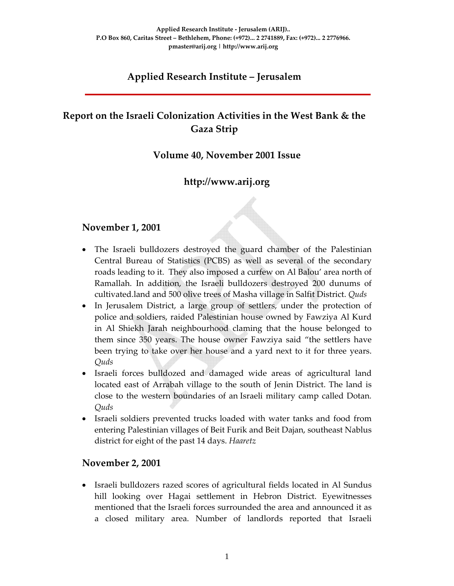# **Applied Research Institute – Jerusalem**

# **Report on the Israeli Colonization Activities in the West Bank & the Gaza Strip**

# **Volume 40, November 2001 Issue**

# **http://www.arij.org**

#### **November 1, 2001**

- The Israeli bulldozers destroyed the guard chamber of the Palestinian Central Bureau of Statistics (PCBS) as well as several of the secondary roads leading to it. They also imposed a curfew on Al Balou' area north of Ramallah. In addition, the Israeli bulldozers destroyed 200 dunums of cultivated.land and 500 olive trees of Masha village in Salfit District. *Quds*
- In Jerusalem District, a large group of settlers, under the protection of police and soldiers, raided Palestinian house owned by Fawziya Al Kurd in Al Shiekh Jarah neighbourhood claming that the house belonged to them since 350 years. The house owner Fawziya said "the settlers have been trying to take over her house and a yard next to it for three years. *Quds*
- Israeli forces bulldozed and damaged wide areas of agricultural land located east of Arrabah village to the south of Jenin District. The land is close to the western boundaries of an Israeli military camp called Dotan*. Quds*
- Israeli soldiers prevented trucks loaded with water tanks and food from entering Palestinian villages of Beit Furik and Beit Dajan, southeast Nablus district for eight of the past 14 days. *Haaretz*

#### **November 2, 2001**

• Israeli bulldozers razed scores of agricultural fields located in Al Sundus hill looking over Hagai settlement in Hebron District. Eyewitnesses mentioned that the Israeli forces surrounded the area and announced it as a closed military area. Number of landlords reported that Israeli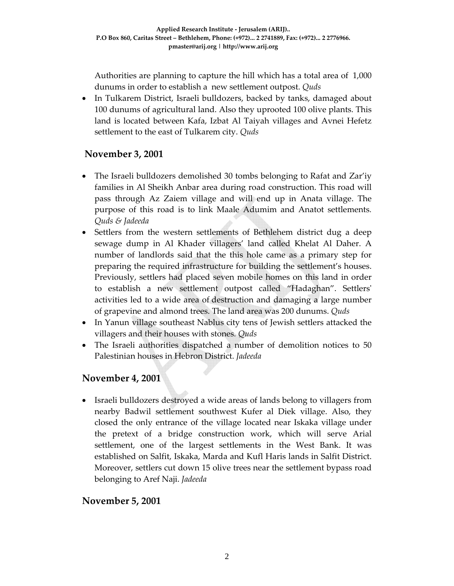Authorities are planning to capture the hill which has a total area of 1,000 dunums in order to establish a new settlement outpost. *Quds*

• In Tulkarem District, Israeli bulldozers, backed by tanks, damaged about 100 dunums of agricultural land. Also they uprooted 100 olive plants. This land is located between Kafa, Izbat Al Taiyah villages and Avnei Hefetz settlement to the east of Tulkarem city. *Quds*

# **November 3, 2001**

- The Israeli bulldozers demolished 30 tombs belonging to Rafat and Zar'iy families in Al Sheikh Anbar area during road construction. This road will pass through Az Zaiem village and will end up in Anata village. The purpose of this road is to link Maale Adumim and Anatot settlements*. Quds & Jadeeda*
- Settlers from the western settlements of Bethlehem district dug a deep sewage dump in Al Khader villagers' land called Khelat Al Daher. A number of landlords said that the this hole came as a primary step for preparing the required infrastructure for building the settlement's houses. Previously, settlers had placed seven mobile homes on this land in order to establish a new settlement outpost called "Hadaghan". Settlersʹ activities led to a wide area of destruction and damaging a large number of grapevine and almond trees. The land area was 200 dunums. *Quds*
- In Yanun village southeast Nablus city tens of Jewish settlers attacked the villagers and their houses with stones*. Quds*
- The Israeli authorities dispatched a number of demolition notices to 50 Palestinian houses in Hebron District. *Jadeeda*

# **November 4, 2001**

• Israeli bulldozers destroyed a wide areas of lands belong to villagers from nearby Badwil settlement southwest Kufer al Diek village. Also, they closed the only entrance of the village located near Iskaka village under the pretext of a bridge construction work, which will serve Arial settlement, one of the largest settlements in the West Bank. It was established on Salfit, Iskaka, Marda and Kufl Haris lands in Salfit District. Moreover, settlers cut down 15 olive trees near the settlement bypass road belonging to Aref Naji. *Jadeeda*

#### **November 5, 2001**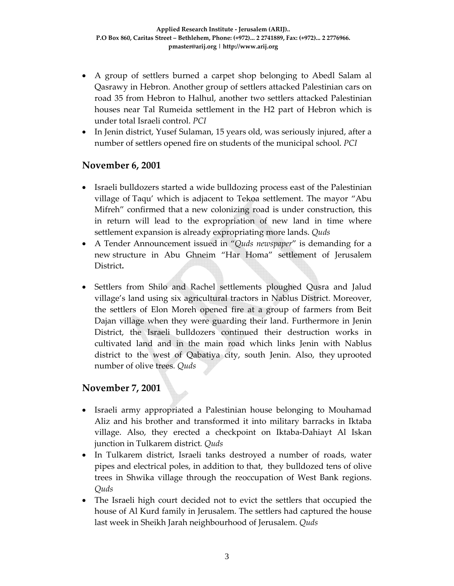- A group of settlers burned a carpet shop belonging to Abedl Salam al Qasrawy in Hebron. Another group of settlers attacked Palestinian cars on road 35 from Hebron to Halhul, another two settlers attacked Palestinian houses near Tal Rumeida settlement in the H2 part of Hebron which is under total Israeli control. *PCI*
- In Jenin district, Yusef Sulaman, 15 years old, was seriously injured, after a number of settlers opened fire on students of the municipal school. *PCI*

## **November 6, 2001**

- Israeli bulldozers started a wide bulldozing process east of the Palestinian village of Taqu' which is adjacent to Tekoa settlement. The mayor "Abu Mifreh" confirmed that a new colonizing road is under construction, this in return will lead to the expropriation of new land in time where settlement expansion is already expropriating more lands. *Quds*
- A Tender Announcement issued in "*Quds newspaper*" is demanding for a new structure in Abu Ghneim "Har Homa" settlement of Jerusalem District**.**
- Settlers from Shilo and Rachel settlements ploughed Qusra and Jalud village's land using six agricultural tractors in Nablus District. Moreover, the settlers of Elon Moreh opened fire at a group of farmers from Beit Dajan village when they were guarding their land. Furthermore in Jenin District, the Israeli bulldozers continued their destruction works in cultivated land and in the main road which links Jenin with Nablus district to the west of Qabatiya city, south Jenin. Also, they uprooted number of olive trees*. Quds*

# **November 7, 2001**

- Israeli army appropriated a Palestinian house belonging to Mouhamad Aliz and his brother and transformed it into military barracks in Iktaba village. Also, they erected a checkpoint on Iktaba‐Dahiayt Al Iskan junction in Tulkarem district*. Quds*
- In Tulkarem district, Israeli tanks destroyed a number of roads, water pipes and electrical poles, in addition to that, they bulldozed tens of olive trees in Shwika village through the reoccupation of West Bank regions. *Quds*
- The Israeli high court decided not to evict the settlers that occupied the house of Al Kurd family in Jerusalem. The settlers had captured the house last week in Sheikh Jarah neighbourhood of Jerusalem. *Quds*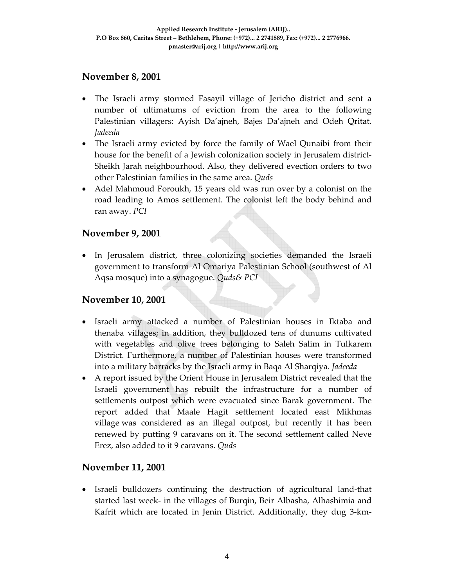## **November 8, 2001**

- The Israeli army stormed Fasayil village of Jericho district and sent a number of ultimatums of eviction from the area to the following Palestinian villagers: Ayish Da'ajneh, Bajes Da'ajneh and Odeh Qritat. *Jadeeda*
- The Israeli army evicted by force the family of Wael Qunaibi from their house for the benefit of a Jewish colonization society in Jerusalem district-Sheikh Jarah neighbourhood. Also, they delivered evection orders to two other Palestinian families in the same area. *Quds*
- Adel Mahmoud Foroukh, 15 years old was run over by a colonist on the road leading to Amos settlement. The colonist left the body behind and ran away. *PCI*

## **November 9, 2001**

• In Jerusalem district, three colonizing societies demanded the Israeli government to transform Al Omariya Palestinian School (southwest of Al Aqsa mosque) into a synagogue. *Quds& PCI* 

#### **November 10, 2001**

- Israeli army attacked a number of Palestinian houses in Iktaba and thenaba villages; in addition, they bulldozed tens of dunums cultivated with vegetables and olive trees belonging to Saleh Salim in Tulkarem District. Furthermore, a number of Palestinian houses were transformed into a military barracks by the Israeli army in Baqa Al Sharqiya. *Jadeeda*
- A report issued by the Orient House in Jerusalem District revealed that the Israeli government has rebuilt the infrastructure for a number of settlements outpost which were evacuated since Barak government. The report added that Maale Hagit settlement located east Mikhmas village was considered as an illegal outpost, but recently it has been renewed by putting 9 caravans on it. The second settlement called Neve Erez, also added to it 9 caravans. *Quds*

# **November 11, 2001**

• Israeli bulldozers continuing the destruction of agricultural land‐that started last week‐ in the villages of Burqin, Beir Albasha, Alhashimia and Kafrit which are located in Jenin District. Additionally, they dug 3‐km‐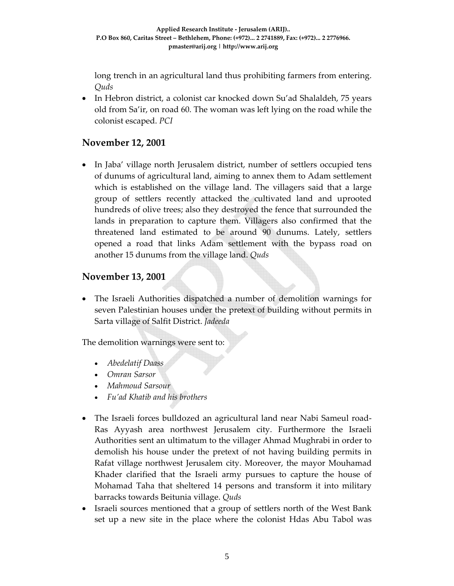long trench in an agricultural land thus prohibiting farmers from entering. *Quds*

• In Hebron district, a colonist car knocked down Su'ad Shalaldeh, 75 years old from Sa'ir, on road 60. The woman was left lying on the road while the colonist escaped. *PCI*

## **November 12, 2001**

• In Jaba' village north Jerusalem district, number of settlers occupied tens of dunums of agricultural land, aiming to annex them to Adam settlement which is established on the village land. The villagers said that a large group of settlers recently attacked the cultivated land and uprooted hundreds of olive trees; also they destroyed the fence that surrounded the lands in preparation to capture them. Villagers also confirmed that the threatened land estimated to be around 90 dunums. Lately, settlers opened a road that links Adam settlement with the bypass road on another 15 dunums from the village land. *Quds*

#### **November 13, 2001**

• The Israeli Authorities dispatched a number of demolition warnings for seven Palestinian houses under the pretext of building without permits in Sarta village of Salfit District. *Jadeeda*

The demolition warnings were sent to:

- *Abedelatif Daass*
- *Omran Sarsor*
- *Mahmoud Sarsour*
- *Fu'ad Khatib and his brothers*
- The Israeli forces bulldozed an agricultural land near Nabi Sameul road-Ras Ayyash area northwest Jerusalem city. Furthermore the Israeli Authorities sent an ultimatum to the villager Ahmad Mughrabi in order to demolish his house under the pretext of not having building permits in Rafat village northwest Jerusalem city. Moreover, the mayor Mouhamad Khader clarified that the Israeli army pursues to capture the house of Mohamad Taha that sheltered 14 persons and transform it into military barracks towards Beitunia village. *Quds*
- Israeli sources mentioned that a group of settlers north of the West Bank set up a new site in the place where the colonist Hdas Abu Tabol was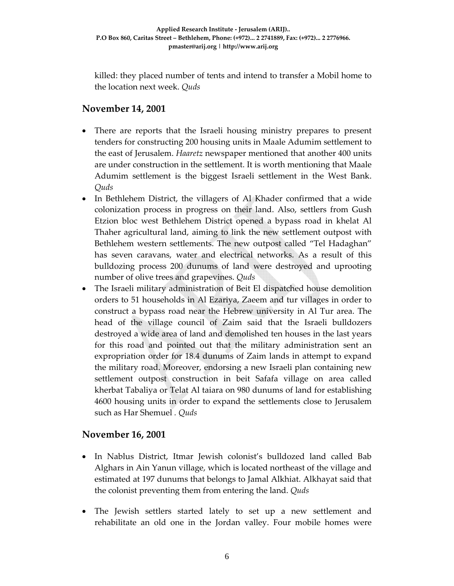killed: they placed number of tents and intend to transfer a Mobil home to the location next week. *Quds*

# **November 14, 2001**

- There are reports that the Israeli housing ministry prepares to present tenders for constructing 200 housing units in Maale Adumim settlement to the east of Jerusalem. *Haaretz* newspaper mentioned that another 400 units are under construction in the settlement. It is worth mentioning that Maale Adumim settlement is the biggest Israeli settlement in the West Bank. *Quds*
- In Bethlehem District, the villagers of Al Khader confirmed that a wide colonization process in progress on their land. Also, settlers from Gush Etzion bloc west Bethlehem District opened a bypass road in khelat Al Thaher agricultural land, aiming to link the new settlement outpost with Bethlehem western settlements. The new outpost called "Tel Hadaghan" has seven caravans, water and electrical networks. As a result of this bulldozing process 200 dunums of land were destroyed and uprooting number of olive trees and grapevines. *Quds*
- The Israeli military administration of Beit El dispatched house demolition orders to 51 households in Al Ezariya, Zaeem and tur villages in order to construct a bypass road near the Hebrew university in Al Tur area. The head of the village council of Zaim said that the Israeli bulldozers destroyed a wide area of land and demolished ten houses in the last years for this road and pointed out that the military administration sent an expropriation order for 18.4 dunums of Zaim lands in attempt to expand the military road. Moreover, endorsing a new Israeli plan containing new settlement outpost construction in beit Safafa village on area called kherbat Tabaliya or Telat Al taiara on 980 dunums of land for establishing 4600 housing units in order to expand the settlements close to Jerusalem such as Har Shemuel *. Quds*

# **November 16, 2001**

- In Nablus District, Itmar Jewish colonist's bulldozed land called Bab Alghars in Ain Yanun village, which is located northeast of the village and estimated at 197 dunums that belongs to Jamal Alkhiat. Alkhayat said that the colonist preventing them from entering the land. *Quds*
- The Jewish settlers started lately to set up a new settlement and rehabilitate an old one in the Jordan valley. Four mobile homes were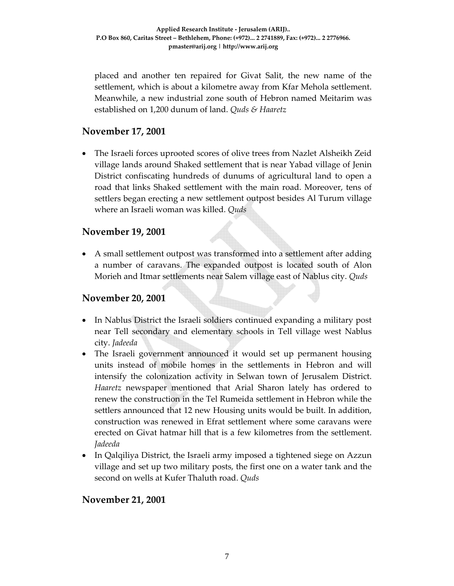placed and another ten repaired for Givat Salit, the new name of the settlement, which is about a kilometre away from Kfar Mehola settlement. Meanwhile, a new industrial zone south of Hebron named Meitarim was established on 1,200 dunum of land. *Quds & Haaretz*

### **November 17, 2001**

• The Israeli forces uprooted scores of olive trees from Nazlet Alsheikh Zeid village lands around Shaked settlement that is near Yabad village of Jenin District confiscating hundreds of dunums of agricultural land to open a road that links Shaked settlement with the main road. Moreover, tens of settlers began erecting a new settlement outpost besides Al Turum village where an Israeli woman was killed. *Quds*

## **November 19, 2001**

• A small settlement outpost was transformed into a settlement after adding a number of caravans. The expanded outpost is located south of Alon Morieh and Itmar settlements near Salem village east of Nablus city. *Quds*

### **November 20, 2001**

- In Nablus District the Israeli soldiers continued expanding a military post near Tell secondary and elementary schools in Tell village west Nablus city. *Jadeeda*
- The Israeli government announced it would set up permanent housing units instead of mobile homes in the settlements in Hebron and will intensify the colonization activity in Selwan town of Jerusalem District. *Haaretz* newspaper mentioned that Arial Sharon lately has ordered to renew the construction in the Tel Rumeida settlement in Hebron while the settlers announced that 12 new Housing units would be built. In addition, construction was renewed in Efrat settlement where some caravans were erected on Givat hatmar hill that is a few kilometres from the settlement. *Jadeeda*
- In Qalqiliya District, the Israeli army imposed a tightened siege on Azzun village and set up two military posts, the first one on a water tank and the second on wells at Kufer Thaluth road. *Quds*

# **November 21, 2001**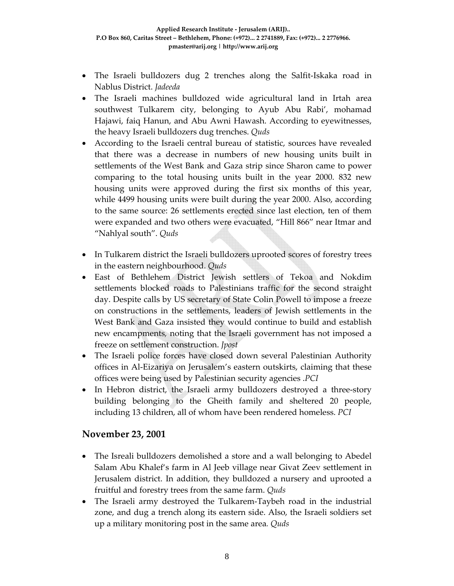- The Israeli bulldozers dug 2 trenches along the Salfit-Iskaka road in Nablus District. *Jadeeda*
- The Israeli machines bulldozed wide agricultural land in Irtah area southwest Tulkarem city, belonging to Ayub Abu Rabi', mohamad Hajawi, faiq Hanun, and Abu Awni Hawash. According to eyewitnesses, the heavy Israeli bulldozers dug trenches. *Quds*
- According to the Israeli central bureau of statistic, sources have revealed that there was a decrease in numbers of new housing units built in settlements of the West Bank and Gaza strip since Sharon came to power comparing to the total housing units built in the year 2000. 832 new housing units were approved during the first six months of this year, while 4499 housing units were built during the year 2000. Also, according to the same source: 26 settlements erected since last election, ten of them were expanded and two others were evacuated, "Hill 866" near Itmar and "Nahlyal south". *Quds*
- In Tulkarem district the Israeli bulldozers uprooted scores of forestry trees in the eastern neighbourhood. *Quds*
- East of Bethlehem District Jewish settlers of Tekoa and Nokdim settlements blocked roads to Palestinians traffic for the second straight day. Despite calls by US secretary of State Colin Powell to impose a freeze on constructions in the settlements, leaders of Jewish settlements in the West Bank and Gaza insisted they would continue to build and establish new encampments*,* noting that the Israeli government has not imposed a freeze on settlement construction. *Jpost*
- The Israeli police forces have closed down several Palestinian Authority offices in Al‐Eizariya on Jerusalem's eastern outskirts, claiming that these offices were being used by Palestinian security agencies .*PCI*
- In Hebron district, the Israeli army bulldozers destroyed a three-story building belonging to the Gheith family and sheltered 20 people, including 13 children, all of whom have been rendered homeless. *PCI*

#### **November 23, 2001**

- The Isreali bulldozers demolished a store and a wall belonging to Abedel Salam Abu Khalef's farm in Al Jeeb village near Givat Zeev settlement in Jerusalem district. In addition, they bulldozed a nursery and uprooted a fruitful and forestry trees from the same farm. *Quds*
- The Israeli army destroyed the Tulkarem-Taybeh road in the industrial zone, and dug a trench along its eastern side. Also, the Israeli soldiers set up a military monitoring post in the same area*. Quds*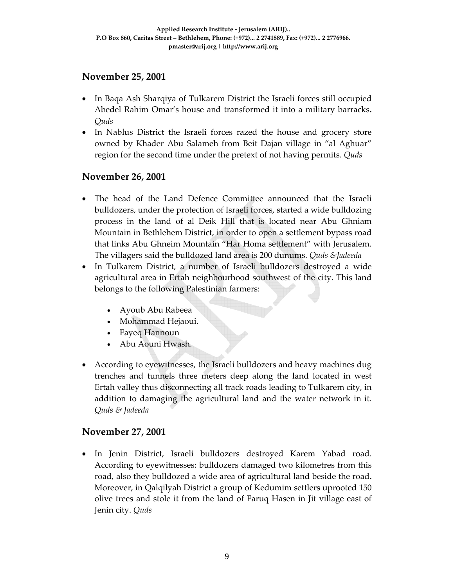## **November 25, 2001**

- In Baqa Ash Sharqiya of Tulkarem District the Israeli forces still occupied Abedel Rahim Omar's house and transformed it into a military barracks**.** *Quds*
- In Nablus District the Israeli forces razed the house and grocery store owned by Khader Abu Salameh from Beit Dajan village in "al Aghuar" region for the second time under the pretext of not having permits. *Quds*

## **November 26, 2001**

- The head of the Land Defence Committee announced that the Israeli bulldozers, under the protection of Israeli forces, started a wide bulldozing process in the land of al Deik Hill that is located near Abu Ghniam Mountain in Bethlehem District, in order to open a settlement bypass road that links Abu Ghneim Mountain "Har Homa settlement" with Jerusalem. The villagers said the bulldozed land area is 200 dunums. *Quds &Jadeeda*
- In Tulkarem District, a number of Israeli bulldozers destroyed a wide agricultural area in Ertah neighbourhood southwest of the city. This land belongs to the following Palestinian farmers:
	- Ayoub Abu Rabeea
	- Mohammad Hejaoui.
	- Fayeq Hannoun
	- Abu Aouni Hwash.
- According to eyewitnesses, the Israeli bulldozers and heavy machines dug trenches and tunnels three meters deep along the land located in west Ertah valley thus disconnecting all track roads leading to Tulkarem city, in addition to damaging the agricultural land and the water network in it. *Quds & Jadeeda*

# **November 27, 2001**

• In Jenin District, Israeli bulldozers destroyed Karem Yabad road. According to eyewitnesses: bulldozers damaged two kilometres from this road, also they bulldozed a wide area of agricultural land beside the road**.** Moreover, in Qalqilyah District a group of Kedumim settlers uprooted 150 olive trees and stole it from the land of Faruq Hasen in Jit village east of Jenin city. *Quds*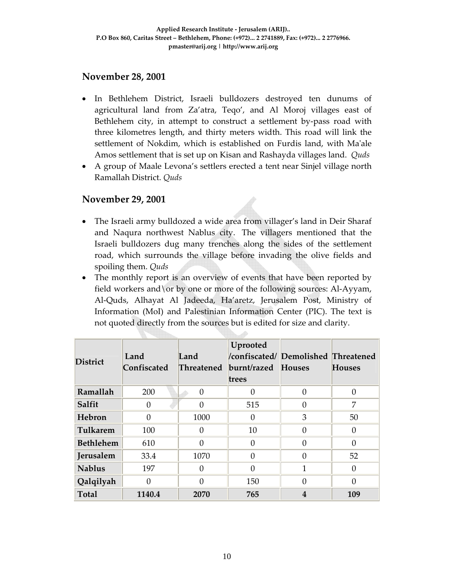## **November 28, 2001**

- In Bethlehem District, Israeli bulldozers destroyed ten dunums of agricultural land from Za'atra, Teqo', and Al Moroj villages east of Bethlehem city, in attempt to construct a settlement by-pass road with three kilometres length, and thirty meters width. This road will link the settlement of Nokdim, which is established on Furdis land, with Ma'ale Amos settlement that is set up on Kisan and Rashayda villages land. *Quds*
- A group of Maale Levona's settlers erected a tent near Sinjel village north Ramallah District. *Quds*

#### **November 29, 2001**

- The Israeli army bulldozed a wide area from villager's land in Deir Sharaf and Naqura northwest Nablus city. The villagers mentioned that the Israeli bulldozers dug many trenches along the sides of the settlement road, which surrounds the village before invading the olive fields and spoiling them. *Quds*
- The monthly report is an overview of events that have been reported by field workers and \or by one or more of the following sources: Al-Ayyam, Al‐Quds, Alhayat Al Jadeeda, Ha'aretz, Jerusalem Post, Ministry of Information (MoI) and Palestinian Information Center (PIC). The text is not quoted directly from the sources but is edited for size and clarity.

| <b>District</b> | Land<br>Confiscated | Land<br><b>Threatened</b> | Uprooted<br>/confiscated/ Demolished Threatened<br>burnt/razed Houses<br>trees |                         | <b>Houses</b> |
|-----------------|---------------------|---------------------------|--------------------------------------------------------------------------------|-------------------------|---------------|
| Ramallah        | 200                 | $\Omega$                  |                                                                                | $\Omega$                | $\Omega$      |
| Salfit          | 0                   |                           | 515                                                                            | $\Omega$                | 7             |
| Hebron          | 0                   | 1000                      | 0                                                                              | 3                       | 50            |
| Tulkarem        | 100                 | 0                         | 10                                                                             | $\Omega$                | 0             |
| Bethlehem       | 610                 | 0                         | $\Omega$                                                                       | $\Omega$                | 0             |
| Jerusalem       | 33.4                | 1070                      | $\Omega$                                                                       | $\Omega$                | 52            |
| <b>Nablus</b>   | 197                 | 0                         | $\Omega$                                                                       | 1                       | 0             |
| Qalqilyah       | O                   |                           | 150                                                                            | $\Omega$                | 0             |
| Total           | 1140.4              | 2070                      | 765                                                                            | $\overline{\mathbf{4}}$ | 109           |